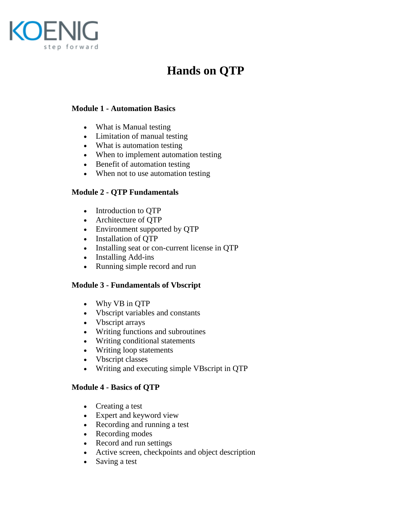

# **Hands on QTP**

## **Module 1 - Automation Basics**

- What is Manual testing
- Limitation of manual testing
- What is automation testing
- When to implement automation testing
- Benefit of automation testing
- When not to use automation testing

## **Module 2 - QTP Fundamentals**

- Introduction to QTP
- Architecture of QTP
- Environment supported by QTP
- Installation of QTP
- Installing seat or con-current license in OTP
- Installing Add-ins
- Running simple record and run

#### **Module 3 - Fundamentals of Vbscript**

- Why VB in QTP
- Vbscript variables and constants
- Vbscript arrays
- Writing functions and subroutines
- Writing conditional statements
- Writing loop statements
- Vbscript classes
- Writing and executing simple VBscript in QTP

#### **Module 4 - Basics of QTP**

- Creating a test
- Expert and keyword view
- Recording and running a test
- Recording modes
- Record and run settings
- Active screen, checkpoints and object description
- Saving a test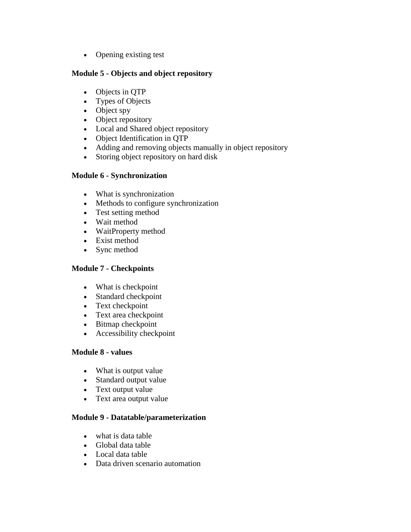• Opening existing test

#### **Module 5 - Objects and object repository**

- Objects in QTP
- Types of Objects
- $\bullet$  Object spy
- Object repository
- Local and Shared object repository
- Object Identification in QTP
- Adding and removing objects manually in object repository
- Storing object repository on hard disk

## **Module 6 - Synchronization**

- What is synchronization
- Methods to configure synchronization
- Test setting method
- Wait method
- WaitProperty method
- Exist method
- Sync method

## **Module 7 - Checkpoints**

- What is checkpoint
- Standard checkpoint
- Text checkpoint
- Text area checkpoint
- Bitmap checkpoint
- Accessibility checkpoint

# **Module 8 - values**

- What is output value
- Standard output value
- Text output value
- Text area output value

## **Module 9 - Datatable/parameterization**

- what is data table
- Global data table
- Local data table
- Data driven scenario automation